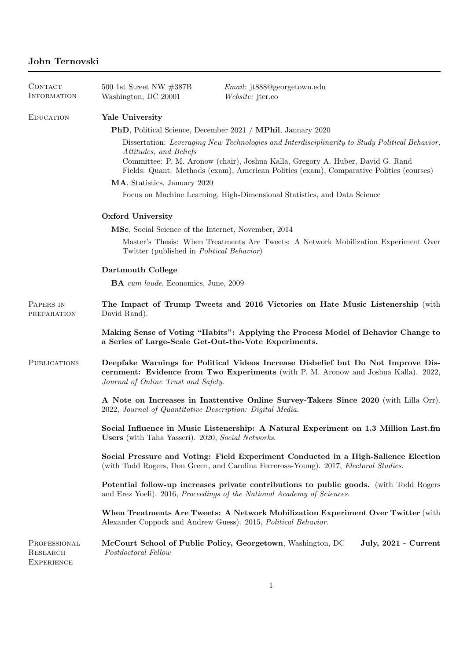| CONTACT<br><b>INFORMATION</b>                        | 500 1st Street NW $\#387B$<br>Washington, DC 20001                                                                                                                                                                                                                                                    | <i>Email:</i> jt888@georgetown.edu<br>Website: jter.co                                                                                                                   |  |
|------------------------------------------------------|-------------------------------------------------------------------------------------------------------------------------------------------------------------------------------------------------------------------------------------------------------------------------------------------------------|--------------------------------------------------------------------------------------------------------------------------------------------------------------------------|--|
| <b>EDUCATION</b>                                     | Yale University                                                                                                                                                                                                                                                                                       |                                                                                                                                                                          |  |
|                                                      | <b>PhD</b> , Political Science, December 2021 / <b>MPhil</b> , January 2020                                                                                                                                                                                                                           |                                                                                                                                                                          |  |
|                                                      | Dissertation: Leveraging New Technologies and Interdisciplinarity to Study Political Behavior,<br>Attitudes, and Beliefs<br>Committee: P. M. Aronow (chair), Joshua Kalla, Gregory A. Huber, David G. Rand<br>Fields: Quant. Methods (exam), American Politics (exam), Comparative Politics (courses) |                                                                                                                                                                          |  |
|                                                      | MA, Statistics, January 2020                                                                                                                                                                                                                                                                          |                                                                                                                                                                          |  |
|                                                      | Focus on Machine Learning, High-Dimensional Statistics, and Data Science                                                                                                                                                                                                                              |                                                                                                                                                                          |  |
|                                                      | Oxford University                                                                                                                                                                                                                                                                                     |                                                                                                                                                                          |  |
|                                                      | MSc, Social Science of the Internet, November, 2014                                                                                                                                                                                                                                                   |                                                                                                                                                                          |  |
|                                                      | Master's Thesis: When Treatments Are Tweets: A Network Mobilization Experiment Over<br>Twitter (published in <i>Political Behavior</i> )                                                                                                                                                              |                                                                                                                                                                          |  |
|                                                      | Dartmouth College                                                                                                                                                                                                                                                                                     |                                                                                                                                                                          |  |
|                                                      | <b>BA</b> cum laude, Economics, June, 2009                                                                                                                                                                                                                                                            |                                                                                                                                                                          |  |
| PAPERS IN<br>PREPARATION                             | The Impact of Trump Tweets and 2016 Victories on Hate Music Listenership (with<br>David Rand).                                                                                                                                                                                                        |                                                                                                                                                                          |  |
|                                                      | Making Sense of Voting "Habits": Applying the Process Model of Behavior Change to<br>a Series of Large-Scale Get-Out-the-Vote Experiments.                                                                                                                                                            |                                                                                                                                                                          |  |
| <b>PUBLICATIONS</b>                                  | Journal of Online Trust and Safety.                                                                                                                                                                                                                                                                   | Deepfake Warnings for Political Videos Increase Disbelief but Do Not Improve Dis-<br>cernment: Evidence from Two Experiments (with P. M. Aronow and Joshua Kalla). 2022, |  |
|                                                      | A Note on Increases in Inattentive Online Survey-Takers Since 2020 (with Lilla Orr).<br>2022, Journal of Quantitative Description: Digital Media.                                                                                                                                                     |                                                                                                                                                                          |  |
|                                                      | Users (with Taha Yasseri). 2020, Social Networks.                                                                                                                                                                                                                                                     | Social Influence in Music Listenership: A Natural Experiment on 1.3 Million Last.fm                                                                                      |  |
|                                                      | Social Pressure and Voting: Field Experiment Conducted in a High-Salience Election<br>(with Todd Rogers, Don Green, and Carolina Ferrerosa-Young). 2017, Electoral Studies.                                                                                                                           |                                                                                                                                                                          |  |
|                                                      | <b>Potential follow-up increases private contributions to public goods.</b> (with Todd Rogers<br>and Erez Yoeli). 2016, Proceedings of the National Academy of Sciences.                                                                                                                              |                                                                                                                                                                          |  |
|                                                      | When Treatments Are Tweets: A Network Mobilization Experiment Over Twitter (with<br>Alexander Coppock and Andrew Guess). 2015, Political Behavior.                                                                                                                                                    |                                                                                                                                                                          |  |
| PROFESSIONAL<br><b>RESEARCH</b><br><b>EXPERIENCE</b> | Postdoctoral Fellow                                                                                                                                                                                                                                                                                   | McCourt School of Public Policy, Georgetown, Washington, DC<br>July, 2021 - Current                                                                                      |  |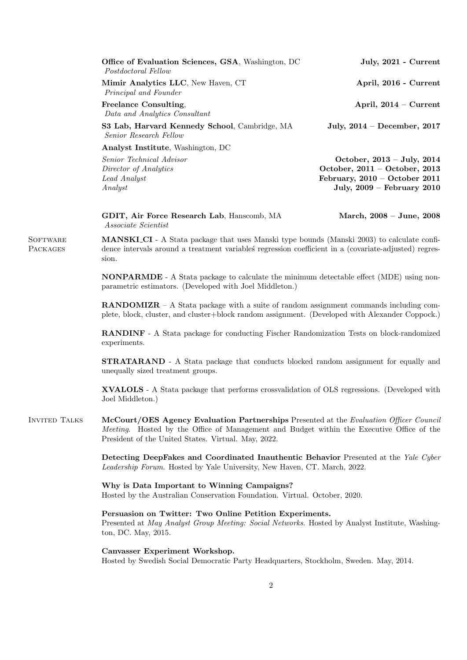| July, 2021 - Current               |
|------------------------------------|
| April, 2016 - Current              |
| April, $2014 -$ Current            |
| July, $2014 - December$ , $2017$   |
|                                    |
| October, $2013 - July, 2014$       |
| October, $2011 - October$ , $2013$ |
| February, $2010 - October$ 2011    |
| July, $2009$ – February $2010$     |
|                                    |

GDIT, Air Force Research Lab, Hanscomb, MA March, 2008 – June, 2008 Associate Scientist

**SOFTWARE PACKAGES** 

MANSKI CI - A Stata package that uses Manski type bounds (Manski 2003) to calculate confidence intervals around a treatment variables regression coefficient in a (covariate-adjusted) regression.

NONPARMDE - A Stata package to calculate the minimum detectable effect (MDE) using nonparametric estimators. (Developed with Joel Middleton.)

**RANDOMIZR** – A Stata package with a suite of random assignment commands including complete, block, cluster, and cluster+block random assignment. (Developed with Alexander Coppock.)

RANDINF - A Stata package for conducting Fischer Randomization Tests on block-randomized experiments.

STRATARAND - A Stata package that conducts blocked random assignment for equally and unequally sized treatment groups.

XVALOLS - A Stata package that performs crossvalidation of OLS regressions. (Developed with Joel Middleton.)

Invited Talks McCourt/OES Agency Evaluation Partnerships Presented at the Evaluation Officer Council Meeting. Hosted by the Office of Management and Budget within the Executive Office of the President of the United States. Virtual. May, 2022.

> Detecting DeepFakes and Coordinated Inauthentic Behavior Presented at the Yale Cyber Leadership Forum. Hosted by Yale University, New Haven, CT. March, 2022.

Why is Data Important to Winning Campaigns? Hosted by the Australian Conservation Foundation. Virtual. October, 2020.

Persuasion on Twitter: Two Online Petition Experiments.

Presented at May Analyst Group Meeting: Social Networks. Hosted by Analyst Institute, Washington, DC. May, 2015.

Canvasser Experiment Workshop.

Hosted by Swedish Social Democratic Party Headquarters, Stockholm, Sweden. May, 2014.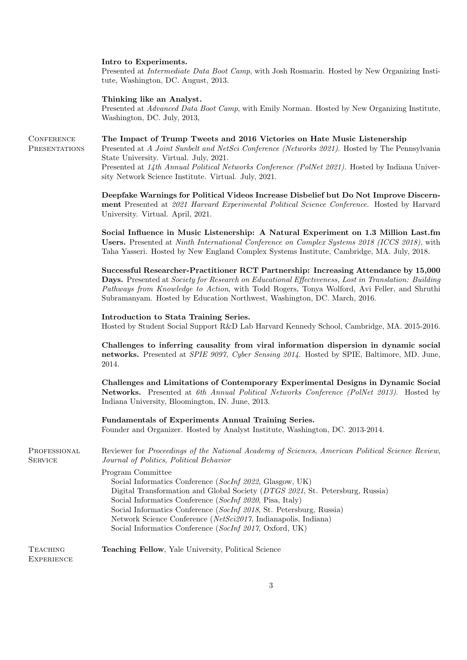## Intro to Experiments.

Presented at Intermediate Data Boot Camp, with Josh Rosmarin. Hosted by New Organizing Institute, Washington, DC. August, 2013.

## Thinking like an Analyst.

Presented at Advanced Data Boot Camp, with Emily Norman. Hosted by New Organizing Institute, Washington, DC. July, 2013,

**CONFERENCE** The Impact of Trump Tweets and 2016 Victories on Hate Music Listenership

> Presented at A Joint Sunbelt and NetSci Conference (Networks 2021). Hosted by The Pennsylvania State University. Virtual. July, 2021.

Presented at 14th Annual Political Networks Conference (PolNet 2021). Hosted by Indiana University Network Science Institute. Virtual. July, 2021.

Deepfake Warnings for Political Videos Increase Disbelief but Do Not Improve Discernment Presented at 2021 Harvard Experimental Political Science Conference. Hosted by Harvard University. Virtual. April, 2021.

Social Influence in Music Listenership: A Natural Experiment on 1.3 Million Last.fm Users. Presented at Ninth International Conference on Complex Systems 2018 (ICCS 2018), with Taha Yasseri. Hosted by New England Complex Systems Institute, Cambridge, MA. July, 2018.

Successful Researcher-Practitioner RCT Partnership: Increasing Attendance by 15,000 Days. Presented at Society for Research on Educational Effectiveness, Lost in Translation: Building Pathways from Knowledge to Action, with Todd Rogers, Tonya Wolford, Avi Feller, and Shruthi Subramanyam. Hosted by Education Northwest, Washington, DC. March, 2016.

## Introduction to Stata Training Series.

Hosted by Student Social Support R&D Lab Harvard Kennedy School, Cambridge, MA. 2015-2016.

Challenges to inferring causality from viral information dispersion in dynamic social networks. Presented at SPIE 9097, Cyber Sensing 2014. Hosted by SPIE, Baltimore, MD. June, 2014.

Challenges and Limitations of Contemporary Experimental Designs in Dynamic Social Networks. Presented at 6th Annual Political Networks Conference (PolNet 2013). Hosted by Indiana University, Bloomington, IN. June, 2013.

Fundamentals of Experiments Annual Training Series. Founder and Organizer. Hosted by Analyst Institute, Washington, DC. 2013-2014.

PROFESSIONAL **SERVICE** Reviewer for Proceedings of the National Academy of Sciences, American Political Science Review, Journal of Politics, Political Behavior

> Program Committee Social Informatics Conference (SocInf 2022, Glasgow, UK)

Digital Transformation and Global Society (DTGS 2021, St. Petersburg, Russia) Social Informatics Conference (SocInf 2020, Pisa, Italy) Social Informatics Conference (SocInf 2018, St. Petersburg, Russia) Network Science Conference (NetSci2017, Indianapolis, Indiana) Social Informatics Conference (SocInf 2017, Oxford, UK)

## **TEACHING** Teaching Fellow, Yale University, Political Science

**EXPERIENCE** 

**PRESENTATIONS**